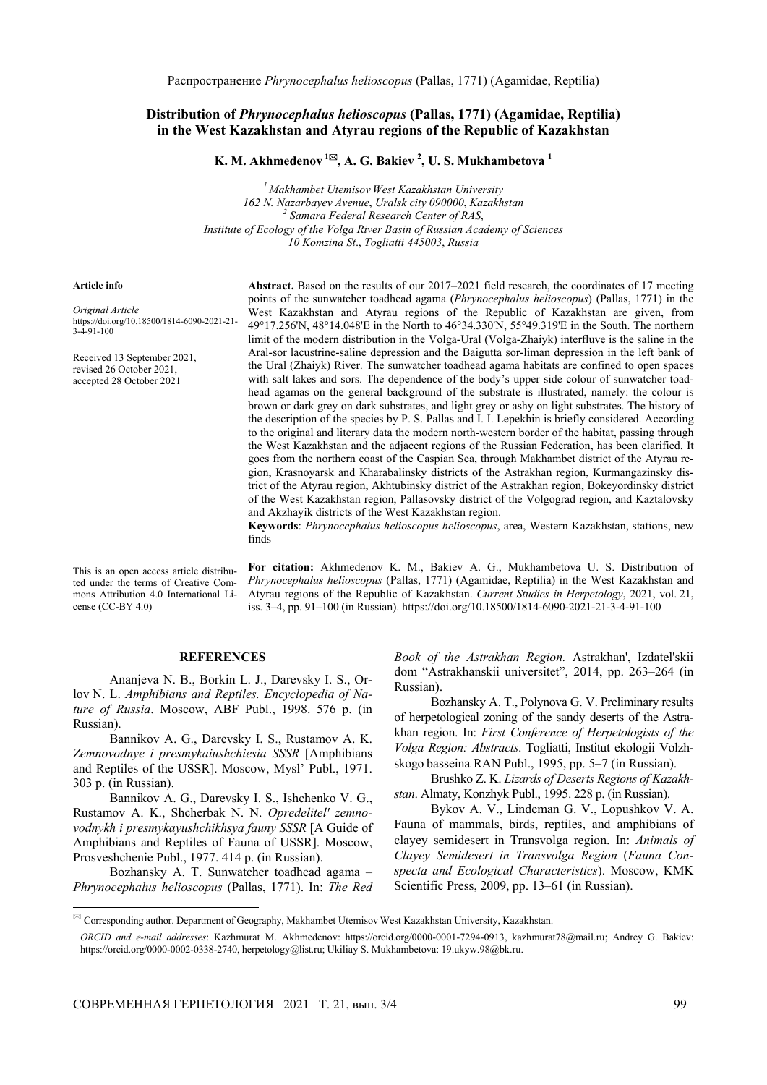## **Distribution of** *Phrynocephalus helioscopus* **(Pallas, 1771) (Agamidae, Reptilia) in the West Kazakhstan and Atyrau regions of the Republic of Kazakhstan**

**K. M. Akhmedenov<sup>1</sup> , A. G. Bakiev 2 , U. S. Mukhambetova 1**

*1 Makhambet Utemisov West Kazakhstan University 162 N. Nazarbayev Avenue*, *Uralsk city 090000*, *Kazakhstan 2 Samara Federal Research Center of RAS*, *Institute of Ecology of the Volga River Basin of Russian Academy of Sciences 10 Komzina St*., *Togliatti 445003*, *Russia*

## **Article info**

*Original Article* https://doi.org/10.18500/1814-6090-2021-21- 3-4-91-100

Received 13 September 2021, revised 26 October 2021, accepted 28 October 2021

**Abstract.** Based on the results of our 2017–2021 field research, the coordinates of 17 meeting points of the sunwatcher toadhead agama (*Phrynocephalus helioscopus*) (Pallas, 1771) in the West Kazakhstan and Atyrau regions of the Republic of Kazakhstan are given, from 49°17.256'N, 48°14.048'E in the North to 46°34.330'N, 55°49.319'E in the South. The northern limit of the modern distribution in the Volga-Ural (Volga-Zhaiyk) interfluve is the saline in the Aral-sor lacustrine-saline depression and the Baigutta sor-liman depression in the left bank of the Ural (Zhaiyk) River. The sunwatcher toadhead agama habitats are confined to open spaces with salt lakes and sors. The dependence of the body's upper side colour of sunwatcher toadhead agamas on the general background of the substrate is illustrated, namely: the colour is brown or dark grey on dark substrates, and light grey or ashy on light substrates. The history of the description of the species by P. S. Pallas and I. I. Lepekhin is briefly considered. According to the original and literary data the modern north-western border of the habitat, passing through the West Kazakhstan and the adjacent regions of the Russian Federation, has been clarified. It goes from the northern coast of the Caspian Sea, through Makhambet district of the Atyrau region, Krasnoyarsk and Kharabalinsky districts of the Astrakhan region, Kurmangazinsky district of the Atyrau region, Akhtubinsky district of the Astrakhan region, Bokeyordinsky district of the West Kazakhstan region, Pallasovsky district of the Volgograd region, and Kaztalovsky and Akzhayik districts of the West Kazakhstan region.

**Keywords**: *Phrynocephalus helioscopus helioscopus*, area, Western Kazakhstan, stations, new finds

This is an open access article distributed under the terms of Creative Commons Attribution 4.0 International License (CC-BY 4.0)

 $\overline{\phantom{a}}$ 

**For citation:** Akhmedenov K. M., Bakiev A. G., Mukhambetova U. S. Distribution of *Phrynocephalus helioscopus* (Pallas, 1771) (Agamidae, Reptilia) in the West Kazakhstan and Atyrau regions of the Republic of Kazakhstan. *Current Studies in Herpetology*, 2021, vol. 21, iss. 3–4, pp. 91–100 (in Russian). https://doi.org/10.18500/1814-6090-2021-21-3-4-91-100

## **REFERENCES**

Ananjeva N. B., Borkin L. J., Darevsky I. S., Orlov N. L. *Amphibians and Reptiles. Encyclopedia of Nature of Russia*. Moscow, ABF Publ., 1998. 576 p. (in Russian).

Bannikov A. G., Darevsky I. S., Rustamov A. K. *Zemnovodnye i presmykaiushchiesia SSSR* [Amphibians and Reptiles of the USSR]. Moscow, Mysl' Publ., 1971. 303 p. (in Russian).

Bannikov A. G., Darevsky I. S., Ishchenko V. G., Rustamov A. K., Shcherbak N. N. *Opredelitel' zemnovodnykh i presmykayushchikhsya fauny SSSR* [A Guide of Amphibians and Reptiles of Fauna of USSR]. Moscow, Prosveshchenie Publ., 1977. 414 p. (in Russian).

Bozhansky A. T. Sunwatcher toadhead agama – *Phrynocephalus helioscopus* (Pallas, 1771). In: *The Red*  *Book of the Astrakhan Region.* Astrakhan', Izdatel'skii dom "Astrakhanskii universitet", 2014, pp. 263–264 (in Russian).

Bozhansky A. T., Polynova G. V. Preliminary results of herpetological zoning of the sandy deserts of the Astrakhan region. In: *First Conference of Herpetologists of the Volga Region: Abstracts*. Togliatti, Institut ekologii Volzhskogo basseina RAN Publ., 1995, pp. 5–7 (in Russian).

Brushko Z. K. *Lizards of Deserts Regions of Kazakhstan*. Almaty, Konzhyk Publ., 1995. 228 p. (in Russian).

Bykov A. V., Lindeman G. V., Lopushkov V. A. Fauna of mammals, birds, reptiles, and amphibians of clayey semidesert in Transvolga region. In: *Animals of Clayey Semidesert in Transvolga Region* (*Fauna Conspecta and Ecological Characteristics*). Moscow, KMK Scientific Press, 2009, pp. 13–61 (in Russian).

 $\boxtimes$  Corresponding author. Department of Geography, Makhambet Utemisov West Kazakhstan University, Kazakhstan.

*ORCID and e-mail addresses*: Kazhmurat M. Akhmedenov: https://orcid.org/0000-0001-7294-0913, kazhmurat78@mail.ru; Andrey G. Bakiev: https://orcid.org/0000-0002-0338-2740, herpetology@list.ru; Ukiliay S. Mukhambetova: 19.ukyw.98@bk.ru.